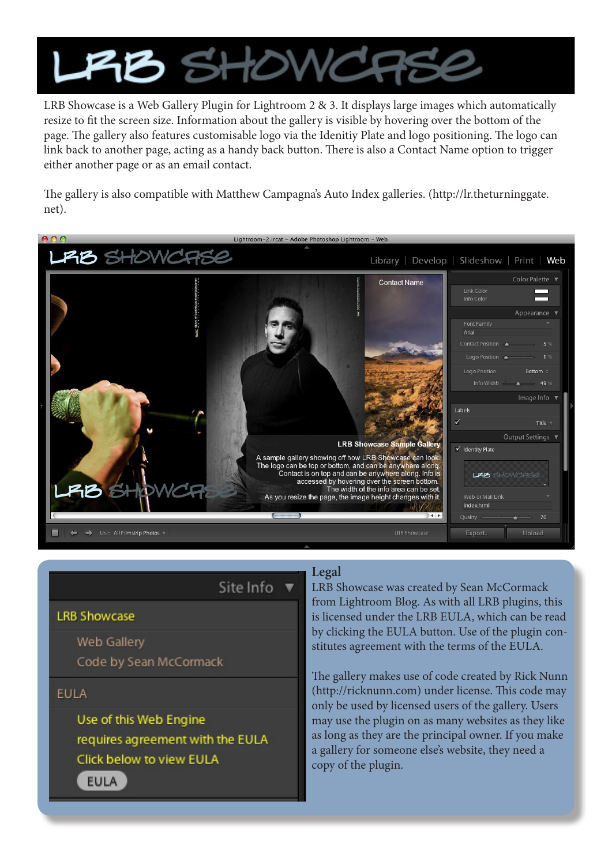

LRB Showcase is a Web Gallery Plugin for Lightroom 2 & 3. It displays large images which automatically resize to fit the screen size. Information about the gallery is visible by hovering over the bottom of the page. The gallery also features customisable logo via the Idenitiy Plate and logo positioning. The logo can link back to another page, acting as a handy back button. There is also a Contact Name option to trigger either another page or as an email contact.

The gallery is also compatible with Matthew Campagna's Auto Index galleries. (http://lr.theturninggate. net).



Site Info  $\Psi$ 

**LRB Showcase** 

Web Gallery Code by Sean McCormack

**EULA** 

Use of this Web Engine requires agreement with the EULA Click below to view EULA

**EULA** 

## **Legal**

LRB Showcase was created by Sean McCormack from Lightroom Blog. As with all LRB plugins, this is licensed under the LRB EULA, which can be read by clicking the EULA button. Use of the plugin constitutes agreement with the terms of the EULA.

The gallery makes use of code created by Rick Nunn (http://ricknunn.com) under license. This code may only be used by licensed users of the gallery. Users may use the plugin on as many websites as they like as long as they are the principal owner. If you make a gallery for someone else's website, they need a copy of the plugin.